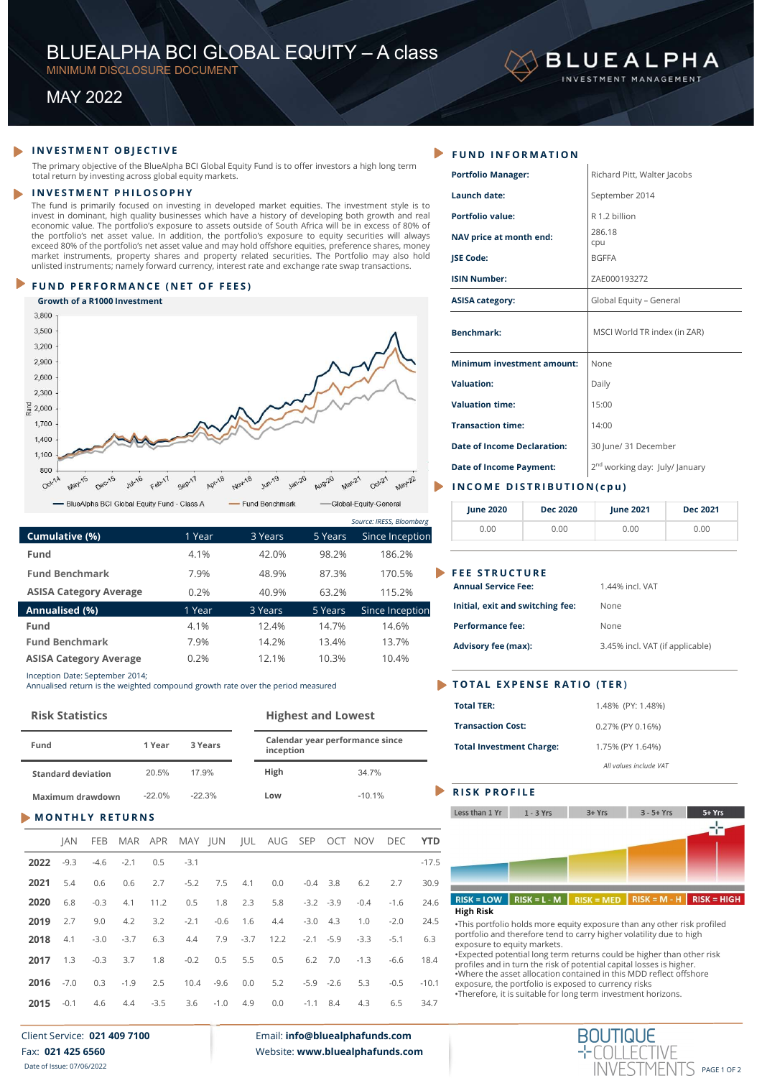## BLUEALPHA BCI GLOBAL EQUITY – A class<br>
MINIMUM DISCLOSURE DOCUMENT<br>
MAY 2022 BLUEALPHA BCI GLOBAL EQUITY - A class<br>
MINIMUM DISCLOSURE DOCUMENT<br>
MAY 2022 **BLUEALPHA BCI GLOBAL EQUITY — A class**<br>
MINIMUM DISCLOSURE DOCUMENT<br>
MAY 2022<br>
VESTMENT OBJECTIVE<br>
Primary objective of the BlueAlpha BCI Global Equity Fund is to offer investors a high long term<br>
If return by investing a



| 2,300<br>픊 2,000<br>1,700<br>1,400<br>1,100 |                        |                           |               |                                              |             |               |        |                                                                                 |            |               |                                 |                          |            | <b>Valuation time:</b><br><b>Transaction time:</b><br><b>Date of Income Declaration:</b> |                 | 15:00<br>14:00<br>30 June/ 31 December                                                                                                         |                 |
|---------------------------------------------|------------------------|---------------------------|---------------|----------------------------------------------|-------------|---------------|--------|---------------------------------------------------------------------------------|------------|---------------|---------------------------------|--------------------------|------------|------------------------------------------------------------------------------------------|-----------------|------------------------------------------------------------------------------------------------------------------------------------------------|-----------------|
| 800                                         |                        |                           |               |                                              |             |               |        |                                                                                 |            |               |                                 |                          |            | <b>Date of Income Payment:</b>                                                           |                 | 2 <sup>nd</sup> working day: July/ January                                                                                                     |                 |
| $Och^{-1}$                                  |                        |                           | <b>Jul-16</b> | $Feb-17$                                     | $5e^{p.17}$ | <b>Apr-18</b> | Nov-18 | <b>Jun-19</b>                                                                   | $38n - 20$ | <b>Aug-20</b> | Mar-21<br>$Oct-21$              | May-22                   |            | <b>INCOME DISTRIBUTION(cpu)</b>                                                          |                 |                                                                                                                                                |                 |
|                                             |                        |                           |               | - BlueAlpha BCI Global Equity Fund - Class A |             |               |        | - Fund Benchmark                                                                |            |               | -Global-Equity-General          |                          |            | <b>June 2020</b>                                                                         | <b>Dec 2020</b> | <b>June 2021</b>                                                                                                                               | <b>Dec 2021</b> |
|                                             |                        |                           |               |                                              |             |               |        |                                                                                 |            |               |                                 | Source: IRESS, Bloomberg |            | 0.00                                                                                     | 0.00            | 0.00                                                                                                                                           | 0.00            |
| Cumulative (%)                              |                        |                           |               |                                              | 1 Year      |               |        | 3 Years                                                                         |            | 5 Years       |                                 | Since Inception          |            |                                                                                          |                 |                                                                                                                                                |                 |
| <b>Fund</b>                                 |                        |                           |               |                                              | 4.1%        |               |        | 42.0%                                                                           |            | 98.2%         |                                 | 186.2%                   |            |                                                                                          |                 |                                                                                                                                                |                 |
|                                             |                        | <b>Fund Benchmark</b>     |               |                                              | 7.9%        |               |        | 48.9%                                                                           |            | 87.3%         |                                 | 170.5%                   |            | <b>FEE STRUCTURE</b>                                                                     |                 |                                                                                                                                                |                 |
| <b>ASISA Category Average</b>               |                        |                           |               |                                              | 0.2%        |               |        | 40.9%                                                                           |            | 63.2%         |                                 | 115.2%                   |            | <b>Annual Service Fee:</b>                                                               |                 | 1.44% incl. VAT                                                                                                                                |                 |
| Annualised (%)                              |                        |                           |               |                                              | 1 Year      |               |        | 3 Years                                                                         |            | 5 Years       |                                 | Since Inception          |            | Initial, exit and switching fee:                                                         |                 | None                                                                                                                                           |                 |
| Fund                                        |                        |                           |               |                                              | 4.1%        |               |        | 12.4%                                                                           |            | 14.7%         |                                 | 14.6%                    |            | <b>Performance fee:</b>                                                                  |                 | None                                                                                                                                           |                 |
| <b>Fund Benchmark</b>                       |                        |                           |               |                                              | 7.9%        |               |        | 14.2%                                                                           |            | 13.4%         |                                 | 13.7%                    |            | <b>Advisory fee (max):</b>                                                               |                 | 3.45% incl. VAT (if applicable)                                                                                                                |                 |
| <b>ASISA Category Average</b>               |                        |                           |               |                                              | 0.2%        |               |        | 12.1%                                                                           |            | 10.3%         |                                 | 10.4%                    |            |                                                                                          |                 |                                                                                                                                                |                 |
| Inception Date: September 2014;             |                        |                           |               |                                              |             |               |        | Annualised return is the weighted compound growth rate over the period measured |            |               |                                 |                          |            | <b>TOTAL EXPENSE RATIO (TER)</b>                                                         |                 |                                                                                                                                                |                 |
|                                             | <b>Risk Statistics</b> |                           |               |                                              |             |               |        |                                                                                 |            |               | <b>Highest and Lowest</b>       |                          |            | <b>Total TER:</b><br><b>Transaction Cost:</b>                                            |                 | 1.48% (PY: 1.48%)                                                                                                                              |                 |
| Fund                                        |                        |                           |               | 1 Year                                       |             | 3 Years       |        | inception                                                                       |            |               | Calendar year performance since |                          |            | <b>Total Investment Charge:</b>                                                          |                 | 0.27% (PY 0.16%)<br>1.75% (PY 1.64%)                                                                                                           |                 |
|                                             |                        | <b>Standard deviation</b> |               | 20.5%                                        |             | 17.9%         |        | High                                                                            |            |               | 34.7%                           |                          |            |                                                                                          |                 | All values include VAT                                                                                                                         |                 |
|                                             |                        | Maximum drawdown          |               | $-22.0%$                                     |             | $-22.3%$      |        | Low                                                                             |            |               | $-10.1%$                        |                          |            | <b>RISK PROFILE</b>                                                                      |                 |                                                                                                                                                |                 |
|                                             |                        |                           |               |                                              |             |               |        |                                                                                 |            |               |                                 |                          |            | Less than 1 Yr                                                                           | $1 - 3$ Yrs     | $3 + Yrs$<br>$3 - 5 + Yrs$                                                                                                                     | 5+ Yrs          |
|                                             |                        | <b>MONTHLY RETURNS</b>    |               |                                              |             |               |        |                                                                                 |            |               |                                 |                          |            |                                                                                          |                 |                                                                                                                                                | T               |
|                                             | JAN                    | FEB                       | MAR           | APR                                          |             | MAY JUN       | JUL    | AUG SEP                                                                         |            |               | OCT NOV                         | DEC                      | <b>YTD</b> |                                                                                          |                 |                                                                                                                                                |                 |
| 2022                                        | $-9.3$                 | $-4.6$                    | $-2.1$        | 0.5                                          | $-3.1$      |               |        |                                                                                 |            |               |                                 |                          | $-17.5$    |                                                                                          |                 |                                                                                                                                                |                 |
| 2021                                        | 5.4                    | 0.6                       | 0.6           | 2.7                                          | $-5.2$      | 7.5           | 4.1    | 0.0                                                                             | $-0.4$     | 3.8           | 6.2                             | 2.7                      | 30.9       |                                                                                          |                 |                                                                                                                                                |                 |
|                                             | 6.8                    | $-0.3$                    | 4.1           | 11.2                                         | 0.5         | 1.8           | 2.3    | 5.8                                                                             |            | $-3.2 -3.9$   | $-0.4$                          | $-1.6$                   | 24.6       | $RISK = LOW$                                                                             |                 | $RISK = L - M$ RISK = MED RISK = M - H                                                                                                         | $RISK = HIGH$   |
| 2020                                        |                        |                           |               |                                              |             |               |        |                                                                                 |            |               |                                 |                          |            | <b>High Risk</b>                                                                         |                 |                                                                                                                                                |                 |
| 2019                                        | 2.7                    | 9.0                       | 4.2           | 3.2                                          | $-2.1$      | $-0.6$        | 1.6    | 4.4                                                                             |            | $-3.0$ 4.3    | 1.0                             | $-2.0$                   | 24.5       |                                                                                          |                 | •This portfolio holds more equity exposure than any other risk profiled<br>portfolio and therefore tend to carry higher volatility due to high |                 |
| 2018                                        | 4.1                    | $-3.0$                    | $-3.7$        | 6.3                                          | 4.4         | 7.9           | $-3.7$ | 12.2                                                                            | $-2.1$     | $-5.9$        | $-3.3$                          | $-5.1$                   | 6.3        | exposure to equity markets.                                                              |                 | . Expected potential long term returns could be higher than other risk                                                                         |                 |

| <b>RISK Statistics</b>    |          |          | <b>Highest and Lowest</b> |                                 | <b>Transaction Cost:</b>        |
|---------------------------|----------|----------|---------------------------|---------------------------------|---------------------------------|
| Fund                      | 1 Year   | 3 Years  | inception                 | Calendar year performance since | <b>Total Investment Charge:</b> |
| <b>Standard deviation</b> | 20.5%    | 17.9%    | High                      | 34.7%                           |                                 |
| Maximum drawdown          | $-22.0%$ | $-22.3%$ | Low                       | $-10.1%$                        | <b>RISK PROFILE</b>             |

| <b>Fund Benchmark</b> |                                 |        |        |                                                                                 |          |         |        |                         |                           |         |                                 |                                |            |                                                                                                                                               |                                      |               |
|-----------------------|---------------------------------|--------|--------|---------------------------------------------------------------------------------|----------|---------|--------|-------------------------|---------------------------|---------|---------------------------------|--------------------------------|------------|-----------------------------------------------------------------------------------------------------------------------------------------------|--------------------------------------|---------------|
|                       |                                 |        |        |                                                                                 | 7.9%     |         |        | 48.9%                   |                           | 87.3%   |                                 | 170.5%                         |            | FEE STRUCTURE                                                                                                                                 |                                      |               |
|                       | <b>ASISA Category Average</b>   |        |        |                                                                                 | 0.2%     |         |        | 40.9%                   |                           | 63.2%   |                                 | 115.2%                         |            | <b>Annual Service Fee:</b>                                                                                                                    | 1.44% incl. VAT                      |               |
|                       | Annualised (%)                  |        |        |                                                                                 | 1 Year   |         |        | 3 Years                 |                           | 5 Years |                                 | Since Inception                |            | Initial, exit and switching fee:                                                                                                              | None                                 |               |
| Fund                  |                                 |        |        |                                                                                 | 4.1%     |         |        | 12.4%                   |                           | 14.7%   |                                 | 14.6%                          |            | <b>Performance fee:</b>                                                                                                                       | None                                 |               |
|                       | <b>Fund Benchmark</b>           |        |        |                                                                                 | 7.9%     |         |        | 14.2%                   |                           | 13.4%   |                                 | 13.7%                          |            | <b>Advisory fee (max):</b>                                                                                                                    | 3.45% incl. VAT (if applicable)      |               |
|                       | <b>ASISA Category Average</b>   |        |        |                                                                                 | 0.2%     |         |        | 12.1%                   |                           | 10.3%   |                                 | 10.4%                          |            |                                                                                                                                               |                                      |               |
|                       | Inception Date: September 2014; |        |        | Annualised return is the weighted compound growth rate over the period measured |          |         |        |                         |                           |         |                                 |                                |            | <b>TOTAL EXPENSE RATIO (TER)</b>                                                                                                              |                                      |               |
|                       | <b>Risk Statistics</b>          |        |        |                                                                                 |          |         |        |                         | <b>Highest and Lowest</b> |         |                                 |                                |            | <b>Total TER:</b><br><b>Transaction Cost:</b>                                                                                                 | 1.48% (PY: 1.48%)                    |               |
| Fund                  |                                 |        |        | 1 Year                                                                          |          | 3 Years |        | inception               |                           |         | Calendar year performance since |                                |            | <b>Total Investment Charge:</b>                                                                                                               | 0.27% (PY 0.16%)<br>1.75% (PY 1.64%) |               |
|                       | <b>Standard deviation</b>       |        |        | 20.5%                                                                           | 17.9%    |         |        | High                    |                           |         | 34.7%                           |                                |            |                                                                                                                                               | All values include VAT               |               |
|                       |                                 |        |        |                                                                                 | $-22.3%$ |         |        | Low                     |                           |         | $-10.1%$                        |                                |            | <b>RISK PROFILE</b>                                                                                                                           |                                      |               |
|                       | Maximum drawdown                |        |        | $-22.0%$                                                                        |          |         |        |                         |                           |         |                                 |                                |            |                                                                                                                                               |                                      |               |
|                       |                                 |        |        |                                                                                 |          |         |        |                         |                           |         |                                 |                                |            | Less than 1 Yr<br>$1 - 3$ Yrs                                                                                                                 | $3 + Yrs$<br>$3 - 5 + Yrs$           | $5+Yrs$       |
|                       | <b>MONTHLY RETURNS</b>          |        |        |                                                                                 |          |         |        |                         |                           |         |                                 |                                |            |                                                                                                                                               |                                      | 责             |
|                       | <b>JAN</b>                      | FEB    |        | MAR APR MAY JUN                                                                 |          |         |        | JUL AUG SEP OCT NOV DEC |                           |         |                                 |                                | <b>YTD</b> |                                                                                                                                               |                                      |               |
| 2022                  | $-9.3$                          | $-4.6$ | $-2.1$ | 0.5                                                                             | $-3.1$   |         |        |                         |                           |         |                                 |                                | $-17.5$    |                                                                                                                                               |                                      |               |
| 2021                  | 5.4                             | 0.6    | 0.6    | 2.7                                                                             | $-5.2$   | 7.5     | 4.1    | 0.0                     | -0.4                      | 3.8     | 6.2                             | 2.7                            | 30.9       |                                                                                                                                               |                                      |               |
| 2020                  | 6.8                             | $-0.3$ | 4.1    | 11.2                                                                            | 0.5      | 1.8     | 2.3    | 5.8                     | $-3.2$                    | $-3.9$  | $-0.4$                          | $-1.6$                         | 24.6       | $RISK = LOW$<br>$RISK = L - M$                                                                                                                | $RISK = MED$ RISK = M - H            | $RISK = HIGH$ |
| 2019                  | 2.7                             | 9.0    | 4.2    | 3.2                                                                             | $-2.1$   | $-0.6$  | 1.6    | 4.4                     | $-3.0$                    | 4.3     | 1.0                             | $-2.0$                         | 24.5       | <b>High Risk</b><br>•This portfolio holds more equity exposure than any other risk profiled                                                   |                                      |               |
| 2018                  | 4.1                             | $-3.0$ | $-3.7$ | 6.3                                                                             | 4.4      | 7.9     | $-3.7$ | 12.2                    | $-2.1$                    | $-5.9$  | $-3.3$                          | $-5.1$                         | 6.3        | portfolio and therefore tend to carry higher volatility due to high<br>exposure to equity markets.                                            |                                      |               |
| 2017                  | 1.3                             | $-0.3$ | 3.7    | 1.8                                                                             | $-0.2$   | 0.5     | 5.5    | 0.5                     | 6.2                       | 7.0     | $-1.3$                          | $-6.6$                         | 18.4       | •Expected potential long term returns could be higher than other risk<br>profiles and in turn the risk of potential capital losses is higher. |                                      |               |
| 2016                  | $-7.0$                          | 0.3    | $-1.9$ | 2.5                                                                             | 10.4     | $-9.6$  | 0.0    | 5.2                     | $-5.9 -2.6$               |         | 5.3                             | $-0.5$                         | $-10.1$    | .Where the asset allocation contained in this MDD reflect offshore<br>exposure, the portfolio is exposed to currency risks                    |                                      |               |
| 2015                  | $-0.1$                          | 4.6    | 4.4    | $-3.5$                                                                          | 3.6      | $-1.0$  | 4.9    | 0.0                     | $-1.1$                    | 8.4     | 4.3                             | 6.5                            | 34.7       | •Therefore, it is suitable for long term investment horizons.                                                                                 |                                      |               |
|                       | Client Service: 021 409 7100    |        |        |                                                                                 |          |         |        |                         |                           |         |                                 | Email: info@bluealphafunds.com |            |                                                                                                                                               | <b>BOUTIQUE</b>                      |               |

|                                                                                                                                                                                                                                                                                                                                                                                                                                                                                                                                                                                                                                                                                                                                                                                                                                                                                                                                                                                                                                                                                                                                                                                                             |                            |                                                | BLUEALPHA BCI GLOBAL EQUITY - A class                |                                                      |                                                                |                                                                                                                                                                                                                                                                                                  |                                                                                                                               |                 |                                                                                                                                                                                                                                                                                     |                 |
|-------------------------------------------------------------------------------------------------------------------------------------------------------------------------------------------------------------------------------------------------------------------------------------------------------------------------------------------------------------------------------------------------------------------------------------------------------------------------------------------------------------------------------------------------------------------------------------------------------------------------------------------------------------------------------------------------------------------------------------------------------------------------------------------------------------------------------------------------------------------------------------------------------------------------------------------------------------------------------------------------------------------------------------------------------------------------------------------------------------------------------------------------------------------------------------------------------------|----------------------------|------------------------------------------------|------------------------------------------------------|------------------------------------------------------|----------------------------------------------------------------|--------------------------------------------------------------------------------------------------------------------------------------------------------------------------------------------------------------------------------------------------------------------------------------------------|-------------------------------------------------------------------------------------------------------------------------------|-----------------|-------------------------------------------------------------------------------------------------------------------------------------------------------------------------------------------------------------------------------------------------------------------------------------|-----------------|
| MINIMUM DISCLOSURE DOCUMENT<br><b>MAY 2022</b>                                                                                                                                                                                                                                                                                                                                                                                                                                                                                                                                                                                                                                                                                                                                                                                                                                                                                                                                                                                                                                                                                                                                                              |                            |                                                |                                                      |                                                      |                                                                |                                                                                                                                                                                                                                                                                                  |                                                                                                                               |                 | <b>BLUEALPHA</b><br>INVESTMENT MANAGEMENT                                                                                                                                                                                                                                           |                 |
| <b>INVESTMENT OBJECTIVE</b><br>The primary objective of the BlueAlpha BCI Global Equity Fund is to offer investors a high long term<br>total return by investing across global equity markets.<br><b>INVESTMENT PHILOSOPHY</b><br>The fund is primarily focused on investing in developed market equities. The investment style is to<br>invest in dominant, high quality businesses which have a history of developing both growth and real<br>economic value. The portfolio's exposure to assets outside of South Africa will be in excess of 80% of<br>the portfolio's net asset value. In addition, the portfolio's exposure to equity securities will always<br>exceed 80% of the portfolio's net asset value and may hold offshore equities, preference shares, money<br>market instruments, property shares and property related securities. The Portfolio may also hold<br>unlisted instruments; namely forward currency, interest rate and exchange rate swap transactions.<br>FUND PERFORMANCE (NET OF FEES)<br>Growth of a R1000 Investment<br>3,800<br>3,500<br>3,200<br>2,900<br>2,600<br>2,300<br>2,000<br>1,700<br>1,400<br>1,100<br>800<br>O <sup>ch<sup>A</sup>A</sup><br>May-15<br>Dec-15 | <b>Jul-16</b><br>$Fe^{17}$ | $sep-17$<br><b>Apr-18</b>                      | Nov-18<br>$Jurn-19$<br>18 <sup>n</sup>               | Mar-21<br><b>Aug-20</b>                              | $Oct-21$<br>May-22                                             | <b>FUND INFORMATION</b><br><b>Portfolio Manager:</b><br>Launch date:<br><b>Portfolio value:</b><br><b>JSE Code:</b><br><b>ISIN Number:</b><br><b>ASISA category:</b><br><b>Benchmark:</b><br><b>Valuation:</b><br><b>Valuation time:</b><br><b>Transaction time:</b><br>INCOME DISTRIBUTION(cpu) | NAV price at month end:<br>Minimum investment amount:<br><b>Date of Income Declaration:</b><br><b>Date of Income Payment:</b> |                 | Richard Pitt, Walter Jacobs<br>September 2014<br>R 1.2 billion<br>286.18<br>cpu<br><b>BGFFA</b><br>ZAE000193272<br>Global Equity - General<br>MSCI World TR index (in ZAR)<br>None<br>Daily<br>15:00<br>14:00<br>30 June/ 31 December<br>2 <sup>nd</sup> working day: July/ January |                 |
| - BlueAlpha BCI Global Equity Fund - Class A                                                                                                                                                                                                                                                                                                                                                                                                                                                                                                                                                                                                                                                                                                                                                                                                                                                                                                                                                                                                                                                                                                                                                                |                            |                                                | - Fund Benchmark                                     | -Global-Equity-General                               | Source: IRESS, Bloomberg                                       | <b>June 2020</b>                                                                                                                                                                                                                                                                                 |                                                                                                                               | <b>Dec 2020</b> | <b>June 2021</b>                                                                                                                                                                                                                                                                    | <b>Dec 2021</b> |
| umulative (%).<br>und                                                                                                                                                                                                                                                                                                                                                                                                                                                                                                                                                                                                                                                                                                                                                                                                                                                                                                                                                                                                                                                                                                                                                                                       |                            | 1 Year<br>4.1%                                 | 3 Years<br>42.0%                                     | 5 Years<br>98.2%                                     | Since Inception<br>186.2%                                      | 0.00                                                                                                                                                                                                                                                                                             |                                                                                                                               | 0.00            | 0.00                                                                                                                                                                                                                                                                                | 0.00            |
| und Benchmark<br><b>SISA Category Average</b><br>(%) nnualised<br>und<br>und Benchmark<br><b>SISA Category Average</b>                                                                                                                                                                                                                                                                                                                                                                                                                                                                                                                                                                                                                                                                                                                                                                                                                                                                                                                                                                                                                                                                                      |                            | 7.9%<br>0.2%<br>1 Year<br>4.1%<br>7.9%<br>0.2% | 48.9%<br>40.9%<br>3 Years<br>12.4%<br>14.2%<br>12.1% | 87.3%<br>63.2%<br>5 Years<br>14.7%<br>13.4%<br>10.3% | 170.5%<br>115.2%<br>Since Inception<br>14.6%<br>13.7%<br>10.4% | FEE STRUCTURE<br><b>Annual Service Fee:</b><br><b>Performance fee:</b><br><b>Advisory fee (max):</b>                                                                                                                                                                                             | Initial, exit and switching fee:                                                                                              |                 | 1.44% incl. VAT<br>None<br>None<br>3.45% incl. VAT (if applicable)                                                                                                                                                                                                                  |                 |
| iception Date: September 2014;<br>nnualised return is the weighted compound growth rate over the period measured<br>Risk Statistics                                                                                                                                                                                                                                                                                                                                                                                                                                                                                                                                                                                                                                                                                                                                                                                                                                                                                                                                                                                                                                                                         |                            |                                                |                                                      | <b>Highest and Lowest</b>                            |                                                                | <b>TOTAL EXPENSE RATIO (TER)</b><br><b>Total TER:</b><br><b>Transaction Cost:</b>                                                                                                                                                                                                                |                                                                                                                               |                 | 1.48% (PY: 1.48%)<br>0.27% (PY 0.16%)                                                                                                                                                                                                                                               |                 |
| Fund<br><b>Standard deviation</b>                                                                                                                                                                                                                                                                                                                                                                                                                                                                                                                                                                                                                                                                                                                                                                                                                                                                                                                                                                                                                                                                                                                                                                           | 1 Year<br>20.5%            | 3 Years<br>17.9%                               | inception<br>High                                    | Calendar year performance since                      | 34.7%                                                          |                                                                                                                                                                                                                                                                                                  | <b>Total Investment Charge:</b>                                                                                               |                 | 1.75% (PY 1.64%)<br>All values include VAT                                                                                                                                                                                                                                          |                 |

| 1.44% incl. VAT                 |
|---------------------------------|
| None                            |
| None                            |
| 3.45% incl. VAT (if applicable) |
|                                 |

| <b>Total TER:</b>               | 1.48% (PY: 1.48%)      |
|---------------------------------|------------------------|
| <b>Transaction Cost:</b>        | 0.27% (PY 0.16%)       |
| <b>Total Investment Charge:</b> | 1.75% (PY 1.64%)       |
|                                 | All values include VAT |